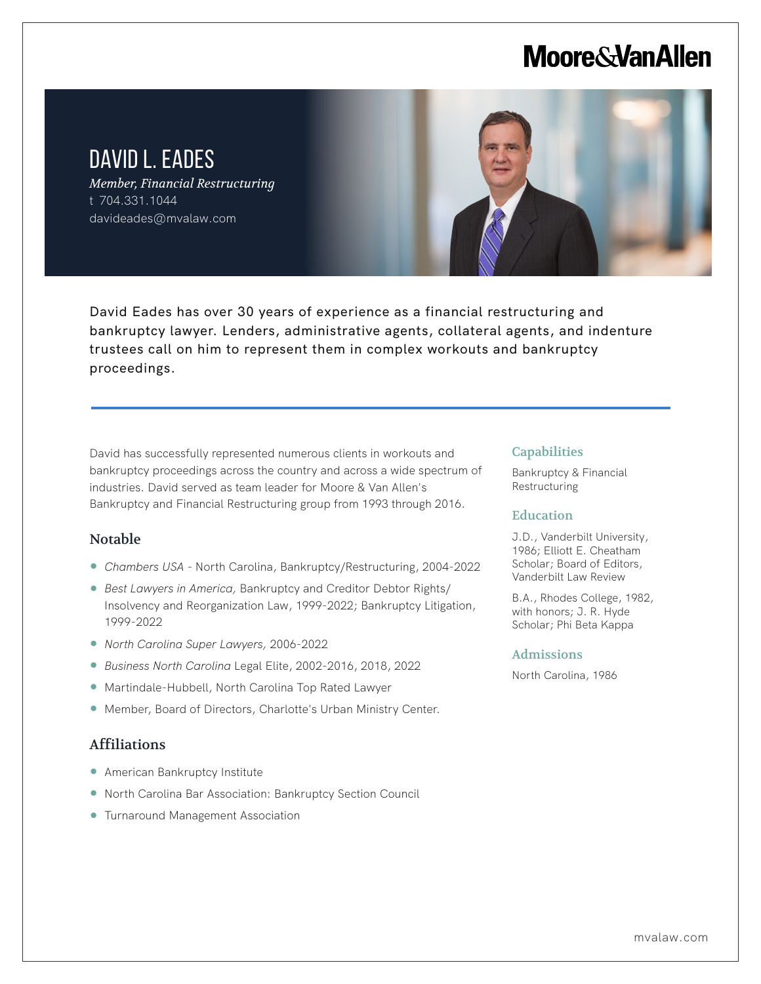## **Moore & Van Allen**

### DAVID L. EADES

*Member, Financial Restructuring* t 704.331.1044 davideades@mvalaw.com



David Eades has over 30 years of experience as a financial restructuring and bankruptcy lawyer. Lenders, administrative agents, collateral agents, and indenture trustees call on him to represent them in complex workouts and bankruptcy proceedings.

David has successfully represented numerous clients in workouts and bankruptcy proceedings across the country and across a wide spectrum of industries. David served as team leader for Moore & Van Allen's Bankruptcy and Financial Restructuring group from 1993 through 2016.

### Notable

L

- *Chambers USA*  North Carolina, Bankruptcy/Restructuring, 2004-2022
- *Best Lawyers in America,* Bankruptcy and Creditor Debtor Rights/ Insolvency and Reorganization Law, 1999-2022; Bankruptcy Litigation, 1999-2022
- *North Carolina Super Lawyers,* 2006-2022
- *Business North Carolina* Legal Elite, 2002-2016, 2018, 2022
- Martindale-Hubbell, North Carolina Top Rated Lawyer
- Member, Board of Directors, Charlotte's Urban Ministry Center.

### Affiliations

- American Bankruptcy Institute
- North Carolina Bar Association: Bankruptcy Section Council
- Turnaround Management Association

### **Capabilities**

Bankruptcy & Financial Restructuring

#### Education

J.D., Vanderbilt University, 1986; Elliott E. Cheatham Scholar; Board of Editors, Vanderbilt Law Review

B.A., Rhodes College, 1982, with honors; J. R. Hyde Scholar; Phi Beta Kappa

#### Admissions

North Carolina, 1986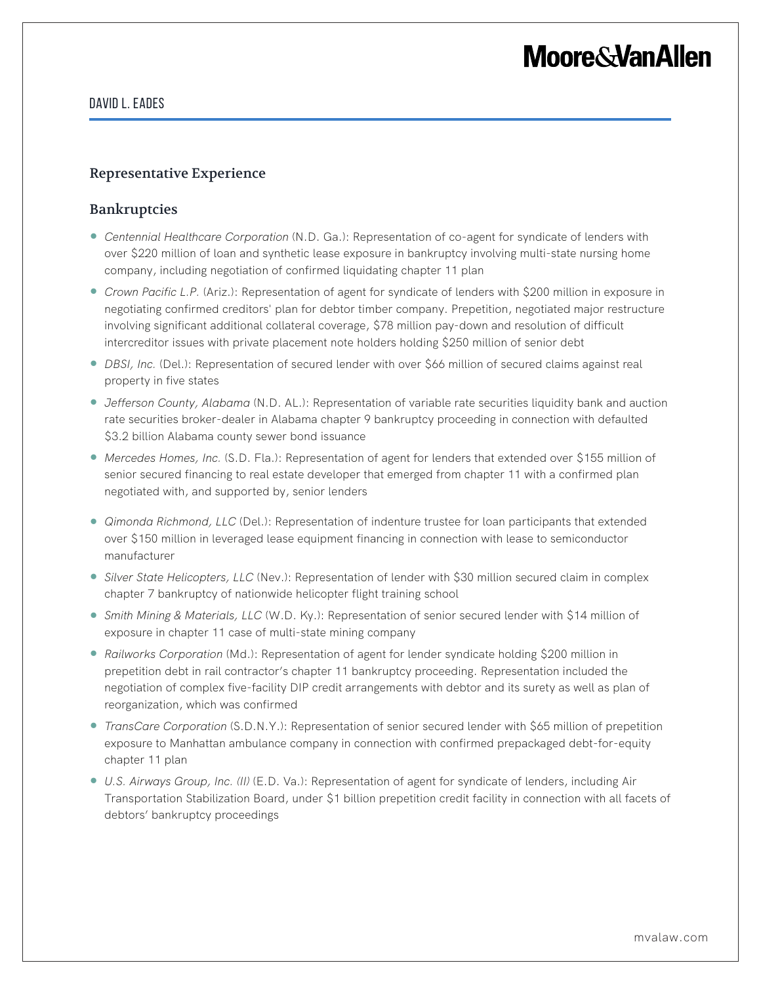# **Moore&VanAllen**

### David L. Eades

### Representative Experience

### Bankruptcies

- *Centennial Healthcare Corporation* (N.D. Ga.): Representation of co-agent for syndicate of lenders with over \$220 million of loan and synthetic lease exposure in bankruptcy involving multi-state nursing home company, including negotiation of confirmed liquidating chapter 11 plan
- *Crown Pacific L.P.* (Ariz.): Representation of agent for syndicate of lenders with \$200 million in exposure in negotiating confirmed creditors' plan for debtor timber company. Prepetition, negotiated major restructure involving significant additional collateral coverage, \$78 million pay-down and resolution of difficult intercreditor issues with private placement note holders holding \$250 million of senior debt
- *DBSI, Inc.* (Del.): Representation of secured lender with over \$66 million of secured claims against real property in five states
- *Jefferson County, Alabama* (N.D. AL.): Representation of variable rate securities liquidity bank and auction rate securities broker-dealer in Alabama chapter 9 bankruptcy proceeding in connection with defaulted \$3.2 billion Alabama county sewer bond issuance
- *Mercedes Homes, Inc.* (S.D. Fla.): Representation of agent for lenders that extended over \$155 million of senior secured financing to real estate developer that emerged from chapter 11 with a confirmed plan negotiated with, and supported by, senior lenders
- *Qimonda Richmond, LLC* (Del.): Representation of indenture trustee for loan participants that extended over \$150 million in leveraged lease equipment financing in connection with lease to semiconductor manufacturer
- *Silver State Helicopters, LLC* (Nev.): Representation of lender with \$30 million secured claim in complex chapter 7 bankruptcy of nationwide helicopter flight training school
- *Smith Mining & Materials, LLC* (W.D. Ky.): Representation of senior secured lender with \$14 million of exposure in chapter 11 case of multi-state mining company
- *Railworks Corporation* (Md.): Representation of agent for lender syndicate holding \$200 million in prepetition debt in rail contractor's chapter 11 bankruptcy proceeding. Representation included the negotiation of complex five-facility DIP credit arrangements with debtor and its surety as well as plan of reorganization, which was confirmed
- *TransCare Corporation* (S.D.N.Y.): Representation of senior secured lender with \$65 million of prepetition exposure to Manhattan ambulance company in connection with confirmed prepackaged debt-for-equity chapter 11 plan
- *U.S. Airways Group, Inc. (II)* (E.D. Va.): Representation of agent for syndicate of lenders, including Air Transportation Stabilization Board, under \$1 billion prepetition credit facility in connection with all facets of debtors' bankruptcy proceedings